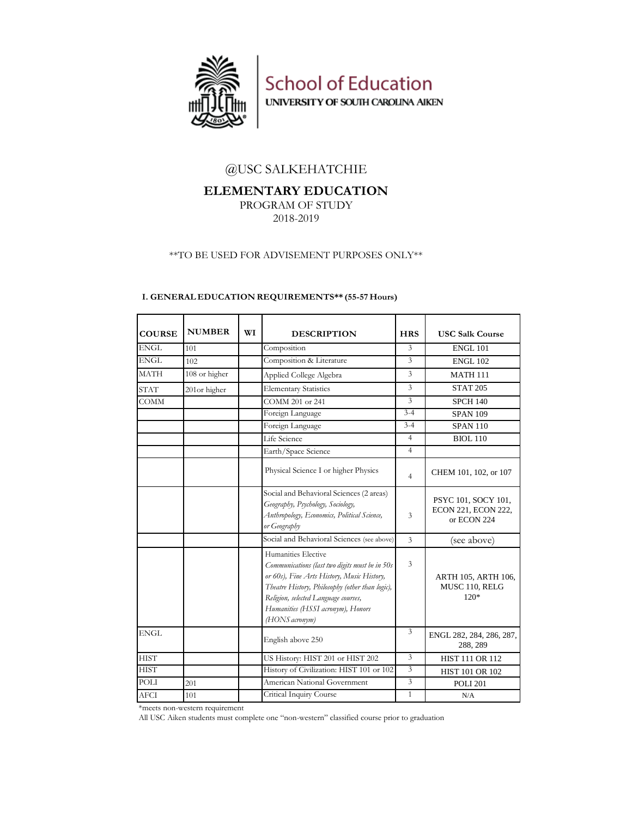

**School of Education** UNIVERSITY OF SOUTH CAROLINA AIKEN

## @USC SALKEHATCHIE

# **ELEMENTARY EDUCATION**

PROGRAM OF STUDY 2018-2019

## \*\*TO BE USED FOR ADVISEMENT PURPOSES ONLY\*\*

| <b>COURSE</b> | <b>NUMBER</b> | WI | <b>DESCRIPTION</b>                                                                                                                                                                                                                                                    | <b>HRS</b>              | <b>USC Salk Course</b>                                    |
|---------------|---------------|----|-----------------------------------------------------------------------------------------------------------------------------------------------------------------------------------------------------------------------------------------------------------------------|-------------------------|-----------------------------------------------------------|
| <b>ENGL</b>   | 101           |    | Composition                                                                                                                                                                                                                                                           | 3                       | <b>ENGL 101</b>                                           |
| <b>ENGL</b>   | 102           |    | Composition & Literature                                                                                                                                                                                                                                              | 3                       | <b>ENGL 102</b>                                           |
| <b>MATH</b>   | 108 or higher |    | Applied College Algebra                                                                                                                                                                                                                                               | 3                       | <b>MATH 111</b>                                           |
| <b>STAT</b>   | 201or higher  |    | <b>Elementary Statistics</b>                                                                                                                                                                                                                                          | 3                       | <b>STAT 205</b>                                           |
| <b>COMM</b>   |               |    | COMM 201 or 241                                                                                                                                                                                                                                                       | 3                       | <b>SPCH 140</b>                                           |
|               |               |    | Foreign Language                                                                                                                                                                                                                                                      | $3 - 4$                 | <b>SPAN 109</b>                                           |
|               |               |    | Foreign Language                                                                                                                                                                                                                                                      | $3 - 4$                 | <b>SPAN 110</b>                                           |
|               |               |    | Life Science                                                                                                                                                                                                                                                          | $\overline{4}$          | <b>BIOL 110</b>                                           |
|               |               |    | Earth/Space Science                                                                                                                                                                                                                                                   | $\overline{4}$          |                                                           |
|               |               |    | Physical Science I or higher Physics                                                                                                                                                                                                                                  | $\overline{4}$          | CHEM 101, 102, or 107                                     |
|               |               |    | Social and Behavioral Sciences (2 areas)<br>Geography, Psychology, Sociology,<br>Anthropology, Economics, Political Science,<br>or Geography                                                                                                                          | $\overline{\mathbf{3}}$ | PSYC 101, SOCY 101,<br>ECON 221, ECON 222,<br>or ECON 224 |
|               |               |    | Social and Behavioral Sciences (see above)                                                                                                                                                                                                                            | $\overline{\mathbf{3}}$ | (see above)                                               |
|               |               |    | Humanities Elective<br>Communications (last two digits must be in 50s<br>or 60s), Fine Arts History, Music History,<br>Theatre History, Philosophy (other than logic),<br>Religion, selected Language courses,<br>Humanities (HSSI acronym), Honors<br>(HONS acronym) | $\overline{3}$          | ARTH 105, ARTH 106,<br>MUSC 110, RELG<br>$120*$           |
| <b>ENGL</b>   |               |    | English above 250                                                                                                                                                                                                                                                     | $\overline{\mathbf{3}}$ | ENGL 282, 284, 286, 287,<br>288, 289                      |
| <b>HIST</b>   |               |    | US History: HIST 201 or HIST 202                                                                                                                                                                                                                                      | $\overline{\mathbf{3}}$ | HIST 111 OR 112                                           |
| <b>HIST</b>   |               |    | History of Civilization: HIST 101 or 102                                                                                                                                                                                                                              | $\overline{\mathbf{3}}$ | <b>HIST 101 OR 102</b>                                    |
| POLI          | 201           |    | American National Government                                                                                                                                                                                                                                          | $\overline{3}$          | <b>POLI 201</b>                                           |
| <b>AFCI</b>   | 101           |    | Critical Inquiry Course                                                                                                                                                                                                                                               | $\mathbf{1}$            | N/A                                                       |

## **I. GENERAL EDUCATION REQUIREMENTS\*\* (55-57 Hours)**

\*meets non-western requirement

All USC Aiken students must complete one "non-western" classified course prior to graduation